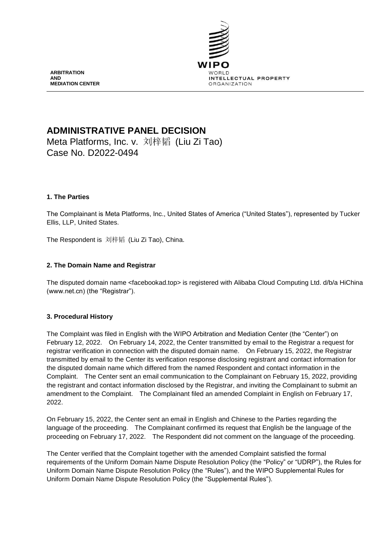

**ARBITRATION AND MEDIATION CENTER**

# **ADMINISTRATIVE PANEL DECISION**

Meta Platforms, Inc. v. 刘梓韬 (Liu Zi Tao) Case No. D2022-0494

# **1. The Parties**

The Complainant is Meta Platforms, Inc., United States of America ("United States"), represented by Tucker Ellis, LLP, United States.

The Respondent is 刘梓韬 (Liu Zi Tao), China.

# **2. The Domain Name and Registrar**

The disputed domain name <facebookad.top> is registered with Alibaba Cloud Computing Ltd. d/b/a HiChina (www.net.cn) (the "Registrar").

### **3. Procedural History**

The Complaint was filed in English with the WIPO Arbitration and Mediation Center (the "Center") on February 12, 2022. On February 14, 2022, the Center transmitted by email to the Registrar a request for registrar verification in connection with the disputed domain name. On February 15, 2022, the Registrar transmitted by email to the Center its verification response disclosing registrant and contact information for the disputed domain name which differed from the named Respondent and contact information in the Complaint. The Center sent an email communication to the Complainant on February 15, 2022, providing the registrant and contact information disclosed by the Registrar, and inviting the Complainant to submit an amendment to the Complaint. The Complainant filed an amended Complaint in English on February 17, 2022.

On February 15, 2022, the Center sent an email in English and Chinese to the Parties regarding the language of the proceeding. The Complainant confirmed its request that English be the language of the proceeding on February 17, 2022. The Respondent did not comment on the language of the proceeding.

The Center verified that the Complaint together with the amended Complaint satisfied the formal requirements of the Uniform Domain Name Dispute Resolution Policy (the "Policy" or "UDRP"), the Rules for Uniform Domain Name Dispute Resolution Policy (the "Rules"), and the WIPO Supplemental Rules for Uniform Domain Name Dispute Resolution Policy (the "Supplemental Rules").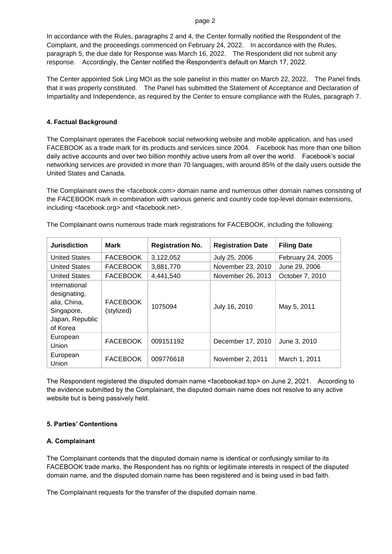In accordance with the Rules, paragraphs 2 and 4, the Center formally notified the Respondent of the Complaint, and the proceedings commenced on February 24, 2022. In accordance with the Rules, paragraph 5, the due date for Response was March 16, 2022. The Respondent did not submit any response. Accordingly, the Center notified the Respondent's default on March 17, 2022.

The Center appointed Sok Ling MOI as the sole panelist in this matter on March 22, 2022. The Panel finds that it was properly constituted. The Panel has submitted the Statement of Acceptance and Declaration of Impartiality and Independence, as required by the Center to ensure compliance with the Rules, paragraph 7.

## **4. Factual Background**

The Complainant operates the Facebook social networking website and mobile application, and has used FACEBOOK as a trade mark for its products and services since 2004. Facebook has more than one billion daily active accounts and over two billion monthly active users from all over the world. Facebook's social networking services are provided in more than 70 languages, with around 85% of the daily users outside the United States and Canada.

The Complainant owns the <facebook.com> domain name and numerous other domain names consisting of the FACEBOOK mark in combination with various generic and country code top-level domain extensions, including <facebook.org> and <facebook.net>.

| <b>Jurisdiction</b>                                                                        | <b>Mark</b>                   | <b>Registration No.</b> | <b>Registration Date</b> | <b>Filing Date</b> |
|--------------------------------------------------------------------------------------------|-------------------------------|-------------------------|--------------------------|--------------------|
| <b>United States</b>                                                                       | <b>FACEBOOK</b>               | 3,122,052               | July 25, 2006            | February 24, 2005  |
| <b>United States</b>                                                                       | <b>FACEBOOK</b>               | 3,881,770               | November 23, 2010        | June 29, 2006      |
| <b>United States</b>                                                                       | <b>FACEBOOK</b>               | 4,441,540               | November 26, 2013        | October 7, 2010    |
| International<br>designating,<br>alia, China,<br>Singapore,<br>Japan, Republic<br>of Korea | <b>FACEBOOK</b><br>(stylized) | 1075094                 | July 16, 2010            | May 5, 2011        |
| European<br>Union                                                                          | <b>FACEBOOK</b>               | 009151192               | December 17, 2010        | June 3, 2010       |
| European<br>Union                                                                          | <b>FACEBOOK</b>               | 009776618               | November 2, 2011         | March 1, 2011      |

The Complainant owns numerous trade mark registrations for FACEBOOK, including the following:

The Respondent registered the disputed domain name <facebookad.top> on June 2, 2021. According to the evidence submitted by the Complainant, the disputed domain name does not resolve to any active website but is being passively held.

### **5. Parties' Contentions**

### **A. Complainant**

The Complainant contends that the disputed domain name is identical or confusingly similar to its FACEBOOK trade marks, the Respondent has no rights or legitimate interests in respect of the disputed domain name, and the disputed domain name has been registered and is being used in bad faith.

The Complainant requests for the transfer of the disputed domain name.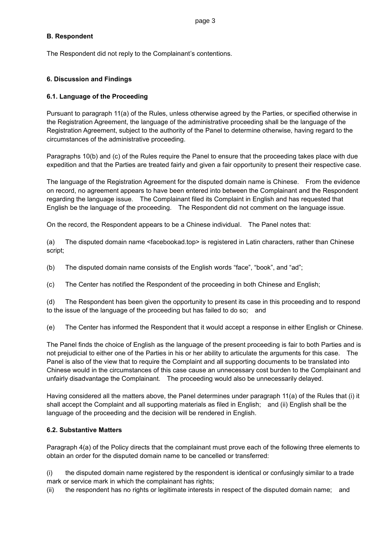# **B. Respondent**

The Respondent did not reply to the Complainant's contentions.

# **6. Discussion and Findings**

## **6.1. Language of the Proceeding**

Pursuant to paragraph 11(a) of the Rules, unless otherwise agreed by the Parties, or specified otherwise in the Registration Agreement, the language of the administrative proceeding shall be the language of the Registration Agreement, subject to the authority of the Panel to determine otherwise, having regard to the circumstances of the administrative proceeding.

Paragraphs 10(b) and (c) of the Rules require the Panel to ensure that the proceeding takes place with due expedition and that the Parties are treated fairly and given a fair opportunity to present their respective case.

The language of the Registration Agreement for the disputed domain name is Chinese. From the evidence on record, no agreement appears to have been entered into between the Complainant and the Respondent regarding the language issue. The Complainant filed its Complaint in English and has requested that English be the language of the proceeding. The Respondent did not comment on the language issue.

On the record, the Respondent appears to be a Chinese individual. The Panel notes that:

(a) The disputed domain name <facebookad.top> is registered in Latin characters, rather than Chinese script;

(b) The disputed domain name consists of the English words "face", "book", and "ad";

(c) The Center has notified the Respondent of the proceeding in both Chinese and English;

(d) The Respondent has been given the opportunity to present its case in this proceeding and to respond to the issue of the language of the proceeding but has failed to do so; and

(e) The Center has informed the Respondent that it would accept a response in either English or Chinese.

The Panel finds the choice of English as the language of the present proceeding is fair to both Parties and is not prejudicial to either one of the Parties in his or her ability to articulate the arguments for this case. The Panel is also of the view that to require the Complaint and all supporting documents to be translated into Chinese would in the circumstances of this case cause an unnecessary cost burden to the Complainant and unfairly disadvantage the Complainant. The proceeding would also be unnecessarily delayed.

Having considered all the matters above, the Panel determines under paragraph 11(a) of the Rules that (i) it shall accept the Complaint and all supporting materials as filed in English; and (ii) English shall be the language of the proceeding and the decision will be rendered in English.

### **6.2. Substantive Matters**

Paragraph 4(a) of the Policy directs that the complainant must prove each of the following three elements to obtain an order for the disputed domain name to be cancelled or transferred:

(i) the disputed domain name registered by the respondent is identical or confusingly similar to a trade mark or service mark in which the complainant has rights;

(ii) the respondent has no rights or legitimate interests in respect of the disputed domain name; and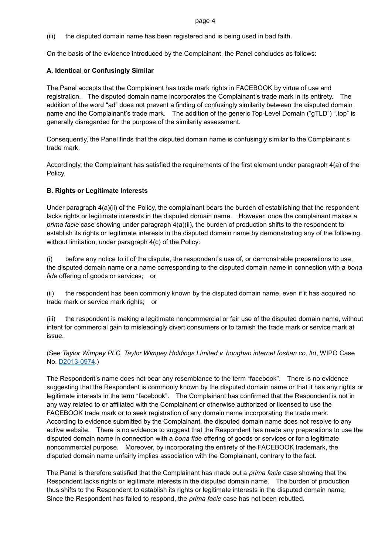#### page 4

(iii) the disputed domain name has been registered and is being used in bad faith.

On the basis of the evidence introduced by the Complainant, the Panel concludes as follows:

# **A. Identical or Confusingly Similar**

The Panel accepts that the Complainant has trade mark rights in FACEBOOK by virtue of use and registration. The disputed domain name incorporates the Complainant's trade mark in its entirety. The addition of the word "ad" does not prevent a finding of confusingly similarity between the disputed domain name and the Complainant's trade mark. The addition of the generic Top-Level Domain ("gTLD") ".top" is generally disregarded for the purpose of the similarity assessment.

Consequently, the Panel finds that the disputed domain name is confusingly similar to the Complainant's trade mark.

Accordingly, the Complainant has satisfied the requirements of the first element under paragraph 4(a) of the Policy.

# **B. Rights or Legitimate Interests**

Under paragraph 4(a)(ii) of the Policy, the complainant bears the burden of establishing that the respondent lacks rights or legitimate interests in the disputed domain name. However, once the complainant makes a *prima facie* case showing under paragraph 4(a)(ii), the burden of production shifts to the respondent to establish its rights or legitimate interests in the disputed domain name by demonstrating any of the following, without limitation, under paragraph 4(c) of the Policy:

(i) before any notice to it of the dispute, the respondent's use of, or demonstrable preparations to use, the disputed domain name or a name corresponding to the disputed domain name in connection with a *bona fide* offering of goods or services; or

(ii) the respondent has been commonly known by the disputed domain name, even if it has acquired no trade mark or service mark rights; or

(iii) the respondent is making a legitimate noncommercial or fair use of the disputed domain name, without intent for commercial gain to misleadingly divert consumers or to tarnish the trade mark or service mark at issue.

(See *Taylor Wimpey PLC, Taylor Wimpey Holdings Limited v. honghao internet foshan co, ltd*, WIPO Case No. [D2013-0974.](https://www.wipo.int/amc/en/domains/search/text.jsp?case=D2013-0974))

The Respondent's name does not bear any resemblance to the term "facebook". There is no evidence suggesting that the Respondent is commonly known by the disputed domain name or that it has any rights or legitimate interests in the term "facebook". The Complainant has confirmed that the Respondent is not in any way related to or affiliated with the Complainant or otherwise authorized or licensed to use the FACEBOOK trade mark or to seek registration of any domain name incorporating the trade mark. According to evidence submitted by the Complainant, the disputed domain name does not resolve to any active website. There is no evidence to suggest that the Respondent has made any preparations to use the disputed domain name in connection with a *bona fide* offering of goods or services or for a legitimate noncommercial purpose. Moreover, by incorporating the entirety of the FACEBOOK trademark, the disputed domain name unfairly implies association with the Complainant, contrary to the fact.

The Panel is therefore satisfied that the Complainant has made out a *prima facie* case showing that the Respondent lacks rights or legitimate interests in the disputed domain name. The burden of production thus shifts to the Respondent to establish its rights or legitimate interests in the disputed domain name. Since the Respondent has failed to respond, the *prima facie* case has not been rebutted.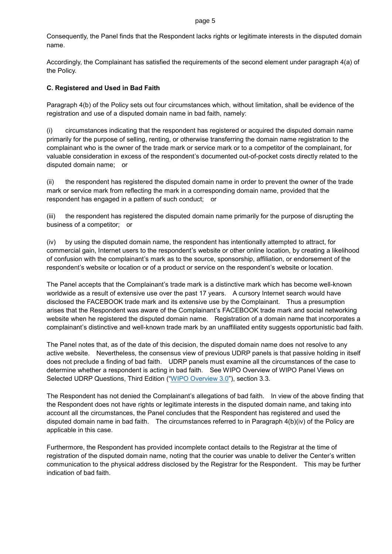#### page 5

Consequently, the Panel finds that the Respondent lacks rights or legitimate interests in the disputed domain name.

Accordingly, the Complainant has satisfied the requirements of the second element under paragraph 4(a) of the Policy.

# **C. Registered and Used in Bad Faith**

Paragraph 4(b) of the Policy sets out four circumstances which, without limitation, shall be evidence of the registration and use of a disputed domain name in bad faith, namely:

(i) circumstances indicating that the respondent has registered or acquired the disputed domain name primarily for the purpose of selling, renting, or otherwise transferring the domain name registration to the complainant who is the owner of the trade mark or service mark or to a competitor of the complainant, for valuable consideration in excess of the respondent's documented out-of-pocket costs directly related to the disputed domain name; or

(ii) the respondent has registered the disputed domain name in order to prevent the owner of the trade mark or service mark from reflecting the mark in a corresponding domain name, provided that the respondent has engaged in a pattern of such conduct; or

(iii) the respondent has registered the disputed domain name primarily for the purpose of disrupting the business of a competitor; or

(iv) by using the disputed domain name, the respondent has intentionally attempted to attract, for commercial gain, Internet users to the respondent's website or other online location, by creating a likelihood of confusion with the complainant's mark as to the source, sponsorship, affiliation, or endorsement of the respondent's website or location or of a product or service on the respondent's website or location.

The Panel accepts that the Complainant's trade mark is a distinctive mark which has become well-known worldwide as a result of extensive use over the past 17 years. A cursory Internet search would have disclosed the FACEBOOK trade mark and its extensive use by the Complainant. Thus a presumption arises that the Respondent was aware of the Complainant's FACEBOOK trade mark and social networking website when he registered the disputed domain name. Registration of a domain name that incorporates a complainant's distinctive and well-known trade mark by an unaffiliated entity suggests opportunistic bad faith.

The Panel notes that, as of the date of this decision, the disputed domain name does not resolve to any active website. Nevertheless, the consensus view of previous UDRP panels is that passive holding in itself does not preclude a finding of bad faith. UDRP panels must examine all the circumstances of the case to determine whether a respondent is acting in bad faith. See WIPO Overview of WIPO Panel Views on Selected UDRP Questions, Third Edition (["WIPO Overview 3.0"](https://www.wipo.int/amc/en/domains/search/overview3.0/)), section 3.3.

The Respondent has not denied the Complainant's allegations of bad faith. In view of the above finding that the Respondent does not have rights or legitimate interests in the disputed domain name, and taking into account all the circumstances, the Panel concludes that the Respondent has registered and used the disputed domain name in bad faith. The circumstances referred to in Paragraph 4(b)(iv) of the Policy are applicable in this case.

Furthermore, the Respondent has provided incomplete contact details to the Registrar at the time of registration of the disputed domain name, noting that the courier was unable to deliver the Center's written communication to the physical address disclosed by the Registrar for the Respondent. This may be further indication of bad faith.